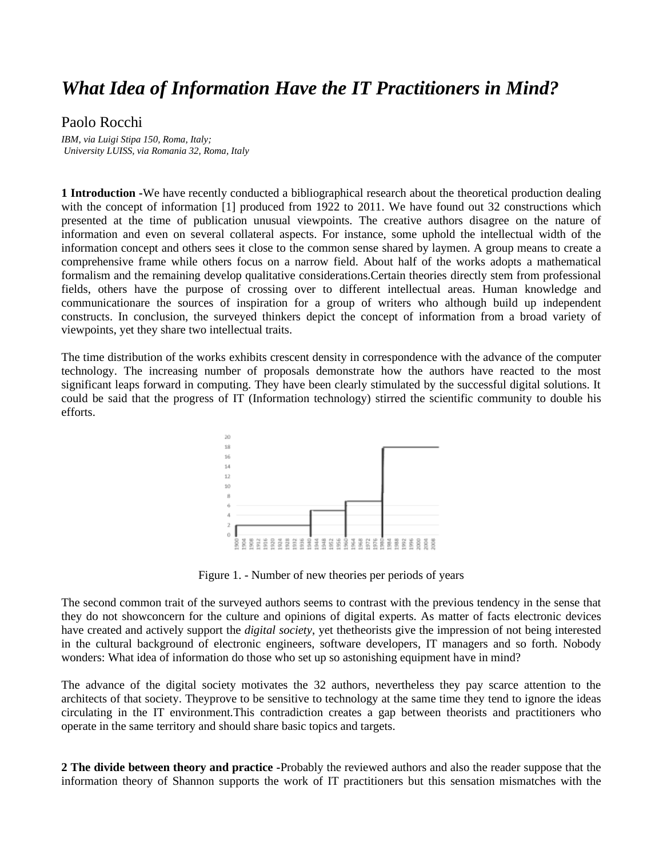## *What Idea of Information Have the IT Practitioners in Mind?*

## Paolo Rocchi

*IBM, via Luigi Stipa 150, Roma, Italy; University LUISS, via Romania 32, Roma, Italy*

**1 Introduction -**We have recently conducted a bibliographical research about the theoretical production dealing with the concept of information [1] produced from 1922 to 2011. We have found out 32 constructions which presented at the time of publication unusual viewpoints. The creative authors disagree on the nature of information and even on several collateral aspects. For instance, some uphold the intellectual width of the information concept and others sees it close to the common sense shared by laymen. A group means to create a comprehensive frame while others focus on a narrow field. About half of the works adopts a mathematical formalism and the remaining develop qualitative considerations.Certain theories directly stem from professional fields, others have the purpose of crossing over to different intellectual areas. Human knowledge and communicationare the sources of inspiration for a group of writers who although build up independent constructs. In conclusion, the surveyed thinkers depict the concept of information from a broad variety of viewpoints, yet they share two intellectual traits.

The time distribution of the works exhibits crescent density in correspondence with the advance of the computer technology. The increasing number of proposals demonstrate how the authors have reacted to the most significant leaps forward in computing. They have been clearly stimulated by the successful digital solutions. It could be said that the progress of IT (Information technology) stirred the scientific community to double his efforts.



Figure 1. - Number of new theories per periods of years

The second common trait of the surveyed authors seems to contrast with the previous tendency in the sense that they do not showconcern for the culture and opinions of digital experts. As matter of facts electronic devices have created and actively support the *digital society*, yet thetheorists give the impression of not being interested in the cultural background of electronic engineers, software developers, IT managers and so forth. Nobody wonders: What idea of information do those who set up so astonishing equipment have in mind?

The advance of the digital society motivates the 32 authors, nevertheless they pay scarce attention to the architects of that society. Theyprove to be sensitive to technology at the same time they tend to ignore the ideas circulating in the IT environment.This contradiction creates a gap between theorists and practitioners who operate in the same territory and should share basic topics and targets.

**2 The divide between theory and practice -**Probably the reviewed authors and also the reader suppose that the information theory of Shannon supports the work of IT practitioners but this sensation mismatches with the